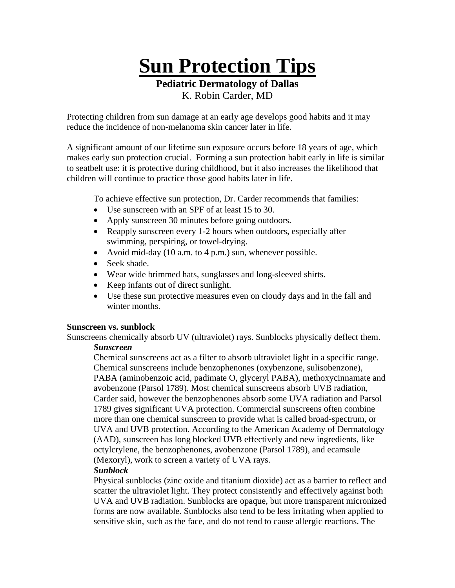**Sun Protection Tips**

**Pediatric Dermatology of Dallas** 

K. Robin Carder, MD

Protecting children from sun damage at an early age develops good habits and it may reduce the incidence of non-melanoma skin cancer later in life.

A significant amount of our lifetime sun exposure occurs before 18 years of age, which makes early sun protection crucial. Forming a sun protection habit early in life is similar to seatbelt use: it is protective during childhood, but it also increases the likelihood that children will continue to practice those good habits later in life.

To achieve effective sun protection, Dr. Carder recommends that families:

- Use sunscreen with an SPF of at least 15 to 30.
- Apply sunscreen 30 minutes before going outdoors.
- Reapply sunscreen every 1-2 hours when outdoors, especially after swimming, perspiring, or towel-drying.
- Avoid mid-day (10 a.m. to 4 p.m.) sun, whenever possible.
- Seek shade.
- Wear wide brimmed hats, sunglasses and long-sleeved shirts.
- Keep infants out of direct sunlight.
- Use these sun protective measures even on cloudy days and in the fall and winter months.

# **Sunscreen vs. sunblock**

Sunscreens chemically absorb UV (ultraviolet) rays. Sunblocks physically deflect them.

# *Sunscreen*

 Chemical sunscreens act as a filter to absorb ultraviolet light in a specific range. Chemical sunscreens include benzophenones (oxybenzone, sulisobenzone), PABA (aminobenzoic acid, padimate O, glyceryl PABA), methoxycinnamate and avobenzone (Parsol 1789). Most chemical sunscreens absorb UVB radiation, Carder said, however the benzophenones absorb some UVA radiation and Parsol 1789 gives significant UVA protection. Commercial sunscreens often combine more than one chemical sunscreen to provide what is called broad-spectrum, or UVA and UVB protection. According to the American Academy of Dermatology (AAD), sunscreen has long blocked UVB effectively and new ingredients, like octylcrylene, the benzophenones, avobenzone (Parsol 1789), and ecamsule (Mexoryl), work to screen a variety of UVA rays.

# *Sunblock*

 Physical sunblocks (zinc oxide and titanium dioxide) act as a barrier to reflect and scatter the ultraviolet light. They protect consistently and effectively against both UVA and UVB radiation. Sunblocks are opaque, but more transparent micronized forms are now available. Sunblocks also tend to be less irritating when applied to sensitive skin, such as the face, and do not tend to cause allergic reactions. The